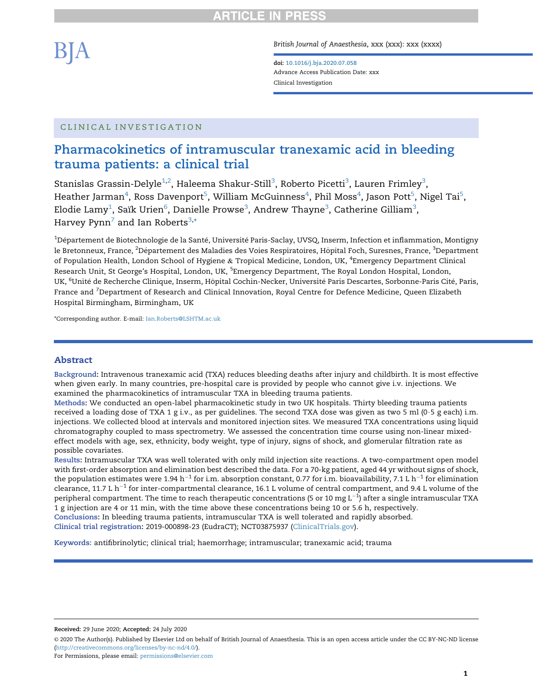British Journal of Anaesthesia, xxx (xxx): xxx (xxxx)

doi: [10.1016/j.bja.2020.07.058](https://doi.org/10.1016/j.bja.2020.07.058) Advance Access Publication Date: xxx Clinical Investigation

# CLINICAL INVESTIGATION

# Pharmacokinetics of intramuscular tranexamic acid in bleeding trauma patients: a clinical trial

Stanislas Grassin-Delyle $^{\rm 1,2}$  $^{\rm 1,2}$  $^{\rm 1,2}$  $^{\rm 1,2}$ , Haleema Shakur-Still $^{\rm 3}$  $^{\rm 3}$  $^{\rm 3}$ , Roberto Picetti $^{\rm 3}$ , Lauren Frimley $^{\rm 3}$ , Heather Jarman $^4$  $^4$ , Ross Davenport $^5$  $^5$ , William McGuinness $^4$ , Phil Moss $^4$ , Jason Pott $^5$ , Nigel Tai $^5$ , Elodie Lamy $^1$  $^1$ , Saïk Urien $^6$  $^6$ , Danielle Prowse $^3$  $^3$ , Andrew Thayne $^3$ , Catherine Gilliam $^3$ , Harvey Pynn $^7$  $^7$  and Ian Roberts $^{\text{3,*}}$  $^{\text{3,*}}$  $^{\text{3,*}}$ 

<span id="page-0-3"></span><span id="page-0-2"></span><span id="page-0-1"></span><span id="page-0-0"></span> $^{\rm 1}$ Département de Biotechnologie de la Santé, Université Paris-Saclay, UVSQ, Inserm, Infection et inflammation, Montigny le Bretonneux, France, <sup>2</sup>Département des Maladies des Voies Respiratoires, Hôpital Foch, Suresnes, France, <sup>3</sup>Department of Population Health, London School of Hygiene & Tropical Medicine, London, UK, <sup>4</sup>Emergency Department Clinical Research Unit, St George's Hospital, London, UK, <sup>5</sup>Emergency Department, The Royal London Hospital, London, UK, <sup>6</sup>Unité de Recherche Clinique, Inserm, Hôpital Cochin-Necker, Université Paris Descartes, Sorbonne-Paris Cité, Paris, France and <sup>7</sup>Department of Research and Clinical Innovation, Royal Centre for Defence Medicine, Queen Elizabeth Hospital Birmingham, Birmingham, UK

<span id="page-0-5"></span><span id="page-0-4"></span>\*Corresponding author. E-mail: [Ian.Roberts@LSHTM.ac.uk](mailto:Ian.Roberts@LSHTM.ac.uk)

## Abstract

Background: Intravenous tranexamic acid (TXA) reduces bleeding deaths after injury and childbirth. It is most effective when given early. In many countries, pre-hospital care is provided by people who cannot give i.v. injections. We examined the pharmacokinetics of intramuscular TXA in bleeding trauma patients.

Methods: We conducted an open-label pharmacokinetic study in two UK hospitals. Thirty bleeding trauma patients received a loading dose of TXA 1 g i.v., as per guidelines. The second TXA dose was given as two 5 ml  $(0.5 \text{ g each})$  i.m. injections. We collected blood at intervals and monitored injection sites. We measured TXA concentrations using liquid chromatography coupled to mass spectrometry. We assessed the concentration time course using non-linear mixedeffect models with age, sex, ethnicity, body weight, type of injury, signs of shock, and glomerular filtration rate as possible covariates.

Results: Intramuscular TXA was well tolerated with only mild injection site reactions. A two-compartment open model with first-order absorption and elimination best described the data. For a 70-kg patient, aged 44 yr without signs of shock, the population estimates were 1.94 h<sup>-1</sup> for i.m. absorption constant, 0.77 for i.m. bioavailability, 7.1 L h<sup>-1</sup> for elimination clearance, 11.7 L  $h^{-1}$  for inter-compartmental clearance, 16.1 L volume of central compartment, and 9.4 L volume of the peripheral compartment. The time to reach therapeutic concentrations (5 or 10 mg L $^{-1}$ ) after a single intramuscular TXA 1 g injection are 4 or 11 min, with the time above these concentrations being 10 or 5.6 h, respectively. Conclusions: In bleeding trauma patients, intramuscular TXA is well tolerated and rapidly absorbed. Clinical trial registration: 2019-000898-23 (EudraCT); NCT03875937 ([ClinicalTrials.gov](http://ClinicalTrials.gov)).

Keywords: antifibrinolytic; clinical trial; haemorrhage; intramuscular; tranexamic acid; trauma

Received: 29 June 2020; Accepted: 24 July 2020

© 2020 The Author(s). Published by Elsevier Ltd on behalf of British Journal of Anaesthesia. This is an open access article under the CC BY-NC-ND license [\(http://creativecommons.org/licenses/by-nc-nd/4.0/\)](http://creativecommons.org/licenses/by-nc-nd/4.0/).

For Permissions, please email: [permissions@elsevier.com](mailto:permissions@elsevier.com)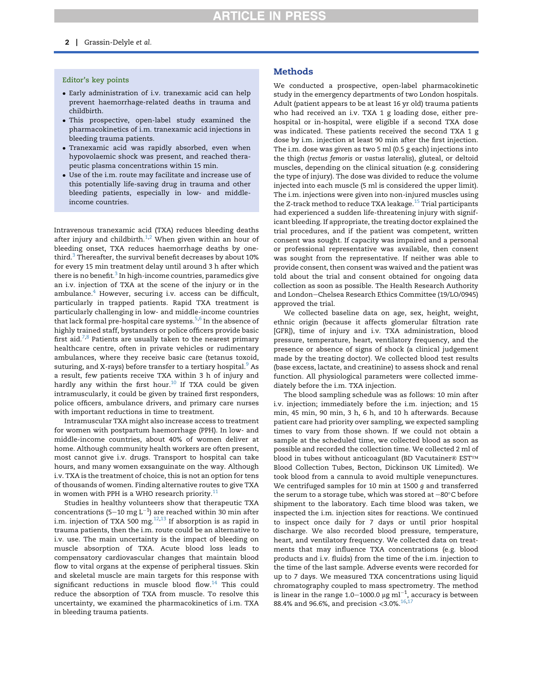#### 2 | Grassin-Delyle et al.

#### Editor's key points

- Early administration of i.v. tranexamic acid can help prevent haemorrhage-related deaths in trauma and childbirth.
- This prospective, open-label study examined the pharmacokinetics of i.m. tranexamic acid injections in bleeding trauma patients.
- Tranexamic acid was rapidly absorbed, even when hypovolaemic shock was present, and reached therapeutic plasma concentrations within 15 min.
- Use of the i.m. route may facilitate and increase use of this potentially life-saving drug in trauma and other bleeding patients, especially in low- and middleincome countries.

Intravenous tranexamic acid (TXA) reduces bleeding deaths after injury and childbirth. $1,2$  $1,2$  $1,2$  When given within an hour of bleeding onset, TXA reduces haemorrhage deaths by onethird. $3$  Thereafter, the survival benefit decreases by about 10% for every 15 min treatment delay until around 3 h after which there is no benefit. $3$  In high-income countries, paramedics give an i.v. injection of TXA at the scene of the injury or in the ambulance. $4$  However, securing i.v. access can be difficult, particularly in trapped patients. Rapid TXA treatment is particularly challenging in low- and middle-income countries that lack formal pre-hospital care systems. $5,6$  $5,6$  $5,6$  In the absence of highly trained staff, bystanders or police officers provide basic first aid. $7,8$  $7,8$  Patients are usually taken to the nearest primary healthcare centre, often in private vehicles or rudimentary ambulances, where they receive basic care (tetanus toxoid, suturing, and X-rays) before transfer to a tertiary hospital.<sup>[9](#page-8-7)</sup> As a result, few patients receive TXA within 3 h of injury and hardly any within the first hour.<sup>10</sup> If TXA could be given intramuscularly, it could be given by trained first responders, police officers, ambulance drivers, and primary care nurses with important reductions in time to treatment.

Intramuscular TXA might also increase access to treatment for women with postpartum haemorrhage (PPH). In low- and middle-income countries, about 40% of women deliver at home. Although community health workers are often present, most cannot give i.v. drugs. Transport to hospital can take hours, and many women exsanguinate on the way. Although i.v. TXA is the treatment of choice, this is not an option for tens of thousands of women. Finding alternative routes to give TXA in women with PPH is a WHO research priority. $^{11}$  $^{11}$  $^{11}$ 

Studies in healthy volunteers show that therapeutic TXA concentrations (5–10 mg L $^{-1}$ ) are reached within 30 min after i.m. injection of TXA 500 mg. $^{12,13}$  $^{12,13}$  $^{12,13}$  $^{12,13}$  $^{12,13}$  If absorption is as rapid in trauma patients, then the i.m. route could be an alternative to i.v. use. The main uncertainty is the impact of bleeding on muscle absorption of TXA. Acute blood loss leads to compensatory cardiovascular changes that maintain blood flow to vital organs at the expense of peripheral tissues. Skin and skeletal muscle are main targets for this response with significant reductions in muscle blood flow.<sup>14</sup> This could reduce the absorption of TXA from muscle. To resolve this uncertainty, we examined the pharmacokinetics of i.m. TXA in bleeding trauma patients.

#### Methods

We conducted a prospective, open-label pharmacokinetic study in the emergency departments of two London hospitals. Adult (patient appears to be at least 16 yr old) trauma patients who had received an i.v. TXA 1 g loading dose, either prehospital or in-hospital, were eligible if a second TXA dose was indicated. These patients received the second TXA 1 g dose by i.m. injection at least 90 min after the first injection. The i.m. dose was given as two 5 ml (0.5 g each) injections into the thigh (rectus femoris or vastus lateralis), gluteal, or deltoid muscles, depending on the clinical situation (e.g. considering the type of injury). The dose was divided to reduce the volume injected into each muscle (5 ml is considered the upper limit). The i.m. injections were given into non-injured muscles using the Z-track method to reduce TXA leakage.<sup>[15](#page-8-13)</sup> Trial participants had experienced a sudden life-threatening injury with significant bleeding. If appropriate, the treating doctor explained the trial procedures, and if the patient was competent, written consent was sought. If capacity was impaired and a personal or professional representative was available, then consent was sought from the representative. If neither was able to provide consent, then consent was waived and the patient was told about the trial and consent obtained for ongoing data collection as soon as possible. The Health Research Authority and London-Chelsea Research Ethics Committee (19/LO/0945) approved the trial.

We collected baseline data on age, sex, height, weight, ethnic origin (because it affects glomerular filtration rate [GFR]), time of injury and i.v. TXA administration, blood pressure, temperature, heart, ventilatory frequency, and the presence or absence of signs of shock (a clinical judgement made by the treating doctor). We collected blood test results (base excess, lactate, and creatinine) to assess shock and renal function. All physiological parameters were collected immediately before the i.m. TXA injection.

The blood sampling schedule was as follows: 10 min after i.v. injection; immediately before the i.m. injection; and 15 min, 45 min, 90 min, 3 h, 6 h, and 10 h afterwards. Because patient care had priority over sampling, we expected sampling times to vary from those shown. If we could not obtain a sample at the scheduled time, we collected blood as soon as possible and recorded the collection time. We collected 2 ml of blood in tubes without anticoagulant (BD Vacutainer® EST™ Blood Collection Tubes, Becton, Dickinson UK Limited). We took blood from a cannula to avoid multiple venepunctures. We centrifuged samples for 10 min at 1500 g and transferred the serum to a storage tube, which was stored at  $-80^{\circ}$ C before shipment to the laboratory. Each time blood was taken, we inspected the i.m. injection sites for reactions. We continued to inspect once daily for 7 days or until prior hospital discharge. We also recorded blood pressure, temperature, heart, and ventilatory frequency. We collected data on treatments that may influence TXA concentrations (e.g. blood products and i.v. fluids) from the time of the i.m. injection to the time of the last sample. Adverse events were recorded for up to 7 days. We measured TXA concentrations using liquid chromatography coupled to mass spectrometry. The method is linear in the range 1.0–1000.0  $\mu$ g ml $^{-1}$ , accuracy is between 88.4% and 96.6%, and precision <3.0%. $16,17$  $16,17$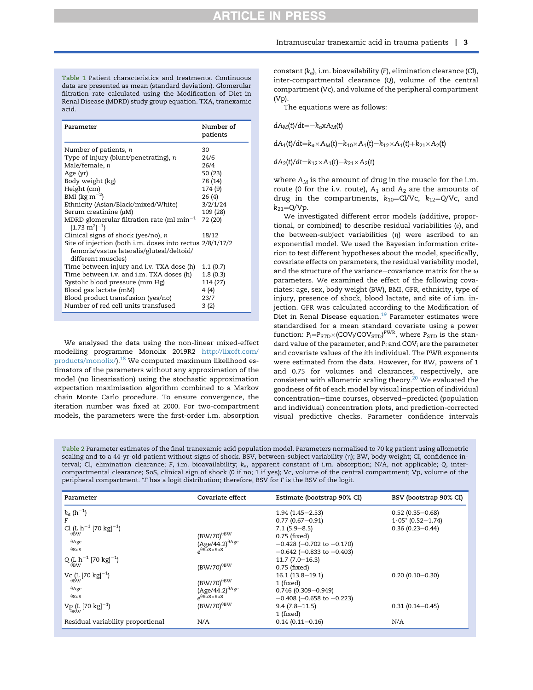<span id="page-2-0"></span>Table 1 Patient characteristics and treatments. Continuous data are presented as mean (standard deviation). Glomerular filtration rate calculated using the Modification of Diet in Renal Disease (MDRD) study group equation. TXA, tranexamic acid.

| Parameter                                                                                                                    | Number of<br>patients |
|------------------------------------------------------------------------------------------------------------------------------|-----------------------|
| Number of patients, n                                                                                                        | 30                    |
| Type of injury (blunt/penetrating), n                                                                                        | 24/6                  |
| Male/female, n                                                                                                               | 26/4                  |
| Age (yr)                                                                                                                     | 50 (23)               |
| Body weight (kg)                                                                                                             | 78 (14)               |
| Height (cm)                                                                                                                  | 174 (9)               |
| BMI (kg $m^{-2}$ )                                                                                                           | 26(4)                 |
| Ethnicity (Asian/Black/mixed/White)                                                                                          | 3/2/1/24              |
| Serum creatinine (µM)                                                                                                        | 109 (28)              |
| MDRD glomerular filtration rate (ml $min^{-1}$<br>[1.73 m <sup>2</sup> ] <sup>-1</sup> )                                     | 72 (20)               |
| Clinical signs of shock (yes/no), n                                                                                          | 18/12                 |
| Site of injection (both i.m. doses into rectus 2/8/1/17/2<br>femoris/vastus lateralis/gluteal/deltoid/<br>different muscles) |                       |
| Time between injury and i.v. TXA dose (h)                                                                                    | 1.1(0.7)              |
| Time between i.v. and i.m. TXA doses (h)                                                                                     | 1.8(0.3)              |
| Systolic blood pressure (mm Hg)                                                                                              | 114 (27)              |
| Blood gas lactate (mM)                                                                                                       | 4(4)                  |
| Blood product transfusion (yes/no)                                                                                           | 23/7                  |
| Number of red cell units transfused                                                                                          | 3(2)                  |

We analysed the data using the non-linear mixed-effect modelling programme Monolix 2019R2 [http://lixoft.com/](http://lixoft.com/products/monolix/) products/monolix/ $\lambda$ .<sup>[18](#page-8-16)</sup> We computed maximum likelihood estimators of the parameters without any approximation of the model (no linearisation) using the stochastic approximation expectation maximisation algorithm combined to a Markov chain Monte Carlo procedure. To ensure convergence, the iteration number was fixed at 2000. For two-compartment models, the parameters were the first-order i.m. absorption

constant  $(k_a)$ , i.m. bioavailability (F), elimination clearance (Cl), inter-compartmental clearance (Q), volume of the central compartment (Vc), and volume of the peripheral compartment (Vp).

The equations were as follows:

$$
dA_M(t)/dt = -k_a x A_M(t)
$$

 $dA_1(t)/dt = k_a \times A_M(t) - k_{10} \times A_1(t) - k_{12} \times A_1(t) + k_{21} \times A_2(t)$ 

 $dA_2(t)/dt = k_{12} \times A_1(t) - k_{21} \times A_2(t)$ 

where  $A_M$  is the amount of drug in the muscle for the i.m. route (0 for the i.v. route),  $A_1$  and  $A_2$  are the amounts of drug in the compartments,  $k_{10}$ =Cl/Vc,  $k_{12}$ =Q/Vc, and  $k_{21} = Q/Vp$ .

We investigated different error models (additive, proportional, or combined) to describe residual variabilities (ε), and the between-subject variabilities (h) were ascribed to an exponential model. We used the Bayesian information criterion to test different hypotheses about the model, specifically, covariate effects on parameters, the residual variability model, and the structure of the variance-covariance matrix for the  $\omega$ parameters. We examined the effect of the following covariates: age, sex, body weight (BW), BMI, GFR, ethnicity, type of injury, presence of shock, blood lactate, and site of i.m. injection. GFR was calculated according to the Modification of Diet in Renal Disease equation.<sup>19</sup> Parameter estimates were standardised for a mean standard covariate using a power function:  $P_i = P_{\text{STD}} \times (\text{COV}_i/\text{COV}_{\text{STD}})^{\text{PWR}}$ , where  $P_{\text{STD}}$  is the standard value of the parameter, and  $P_i$  and COV<sub>i</sub> are the parameter and covariate values of the ith individual. The PWR exponents were estimated from the data. However, for BW, powers of 1 and 0.75 for volumes and clearances, respectively, are consistent with allometric scaling theory. $^{20}$  $^{20}$  $^{20}$  We evaluated the goodness of fit of each model by visual inspection of individual concentration-time courses, observed-predicted (population and individual) concentration plots, and prediction-corrected visual predictive checks. Parameter confidence intervals

<span id="page-2-1"></span>Table 2 Parameter estimates of the final tranexamic acid population model. Parameters normalised to 70 kg patient using allometric scaling and to a 44-yr-old patient without signs of shock. BSV, between-subject variability (h); BW, body weight; CI, confidence interval; Cl, elimination clearance; F, i.m. bioavailability; ka, apparent constant of i.m. absorption; N/A, not applicable; Q, intercompartmental clearance; SoS, clinical sign of shock (0 if no; 1 if yes); Vc, volume of the central compartment; Vp, volume of the peripheral compartment. \*F has a logit distribution; therefore, BSV for F is the BSV of the logit.

| Parameter                                                                                                                                              | Covariate effect                                                                                                                       | Estimate (bootstrap 90% CI)                                                                                                                                              | BSV (bootstrap 90% CI)                                           |
|--------------------------------------------------------------------------------------------------------------------------------------------------------|----------------------------------------------------------------------------------------------------------------------------------------|--------------------------------------------------------------------------------------------------------------------------------------------------------------------------|------------------------------------------------------------------|
| $k_a(h^{-1})$<br>$\frac{Cl}{\theta B W}$ $\frac{(L h^{-1} [70 kg]^{-1})}{(100 kg)^{-1}}$<br>$\theta$ Age<br>$\theta$ SoS<br>$Q(L h^{-1} [70 kg]^{-1})$ | $\left(\text{BW}/\text{70}\right)^{\text{\theta BW}}$<br>$(Age/44.2)^{\theta Age}$                                                     | $1.94(1.45 - 2.53)$<br>$0.77(0.67 - 0.91)$<br>$7.1(5.9 - 8.5)$<br>$0.75$ (fixed)<br>$-0.428$ ( $-0.702$ to $-0.170$ )<br>$-0.642$ (-0.833 to -0.403)<br>$11.7(7.0-16.3)$ | $0.52(0.35 - 0.68)$<br>$1.05$ (0.52-1.74)<br>$0.36(0.23 - 0.44)$ |
| Vc (L [70 $\text{kg}^{-1}$ )<br>$\theta$ BW<br>$\theta$ Age<br>$\theta$ SoS<br>$\mathrm{Vp}\mathrm{_{\theta BW}^{}}$ [70 kg] $^{-1}$ )                 | $(BW/70)^{\theta BW}$<br>$(BW/70)^{\theta BW}$<br>$(Age/44.2)^{\theta Age}$<br>$e^{\theta S}$ OS $\times$ SoS<br>$(BW/70)^{\theta BW}$ | $0.75$ (fixed)<br>$16.1(13.8-19.1)$<br>1(fixed)<br>$0.746(0.309 - 0.949)$<br>$-0.408$ ( $-0.658$ to $-0.223$ )<br>$9.4(7.8 - 11.5)$<br>1 (fixed)                         | $0.20(0.10 - 0.30)$<br>$0.31(0.14 - 0.45)$                       |
| Residual variability proportional                                                                                                                      | N/A                                                                                                                                    | $0.14(0.11 - 0.16)$                                                                                                                                                      | N/A                                                              |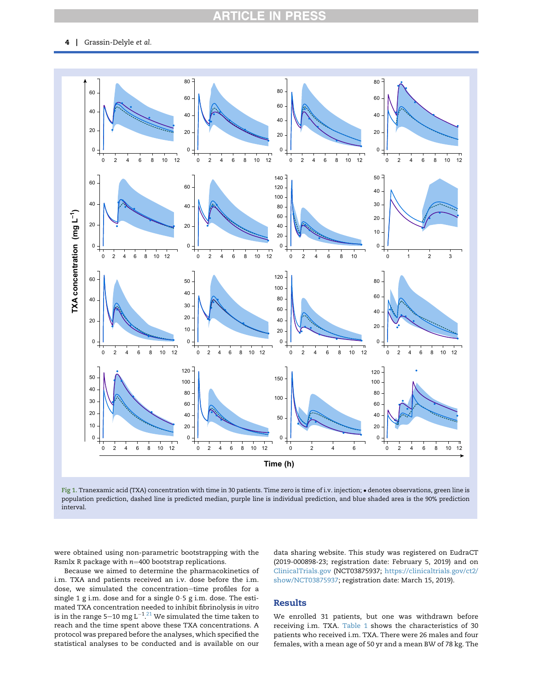### 4 | Grassin-Delyle et al.

<span id="page-3-0"></span>

Fig 1. Tranexamic acid (TXA) concentration with time in 30 patients. Time zero is time of i.v. injection; denotes observations, green line is population prediction, dashed line is predicted median, purple line is individual prediction, and blue shaded area is the 90% prediction interval.

were obtained using non-parametric bootstrapping with the Rsmlx R package with  $n=400$  bootstrap replications.

Because we aimed to determine the pharmacokinetics of i.m. TXA and patients received an i.v. dose before the i.m. dose, we simulated the concentration-time profiles for a single 1 g i.m. dose and for a single  $0.5$  g i.m. dose. The estimated TXA concentration needed to inhibit fibrinolysis in vitro is in the range 5–10 mg L $^{-1.21}\,$  $^{-1.21}\,$  $^{-1.21}\,$ We simulated the time taken to reach and the time spent above these TXA concentrations. A protocol was prepared before the analyses, which specified the statistical analyses to be conducted and is available on our

data sharing website. This study was registered on EudraCT (2019-000898-23; registration date: February 5, 2019) and on [ClinicalTrials.gov](http://ClinicalTrials.gov) (NCT03875937; [https://clinicaltrials.gov/ct2/](https://clinicaltrials.gov/ct2/show/NCT03875937) [show/NCT03875937](https://clinicaltrials.gov/ct2/show/NCT03875937); registration date: March 15, 2019).

### Results

We enrolled 31 patients, but one was withdrawn before receiving i.m. TXA. [Table 1](#page-2-0) shows the characteristics of 30 patients who received i.m. TXA. There were 26 males and four females, with a mean age of 50 yr and a mean BW of 78 kg. The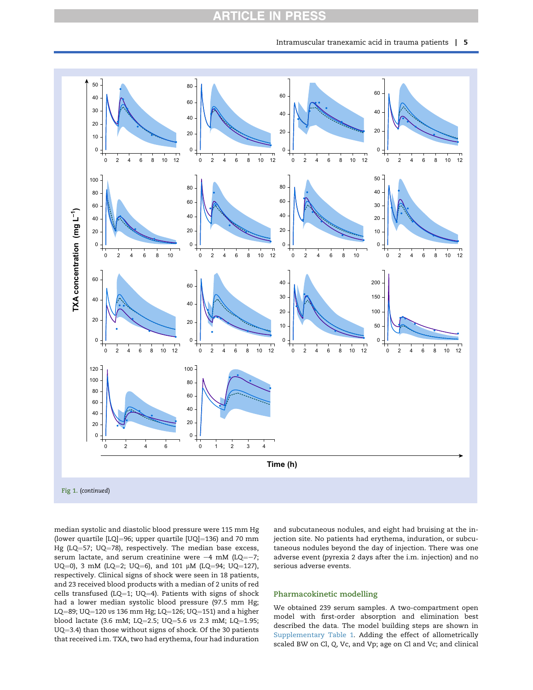#### Intramuscular tranexamic acid in trauma patients  $\vert 5 \rangle$



median systolic and diastolic blood pressure were 115 mm Hg (lower quartile  $[LQ]=96$ ; upper quartile  $[UQ]=136$ ) and 70 mm Hg (LQ=57; UQ=78), respectively. The median base excess, serum lactate, and serum creatinine were  $-4$  mM (LQ= $-7$ ; UQ=0), 3 mM (LQ=2; UQ=6), and 101 µM (LQ=94; UQ=127), respectively. Clinical signs of shock were seen in 18 patients, and 23 received blood products with a median of 2 units of red cells transfused (LQ=1; UQ=4). Patients with signs of shock had a lower median systolic blood pressure (97.5 mm Hg; LQ=89; UQ=120 vs 136 mm Hg; LQ=126; UQ=151) and a higher blood lactate (3.6 mM; LQ=2.5; UQ=5.6 vs 2.3 mM; LQ=1.95; UQ=3.4) than those without signs of shock. Of the 30 patients that received i.m. TXA, two had erythema, four had induration

and subcutaneous nodules, and eight had bruising at the injection site. No patients had erythema, induration, or subcutaneous nodules beyond the day of injection. There was one adverse event (pyrexia 2 days after the i.m. injection) and no serious adverse events.

### Pharmacokinetic modelling

We obtained 239 serum samples. A two-compartment open model with first-order absorption and elimination best described the data. The model building steps are shown in Supplementary Table 1. Adding the effect of allometrically scaled BW on Cl, Q, Vc, and Vp; age on Cl and Vc; and clinical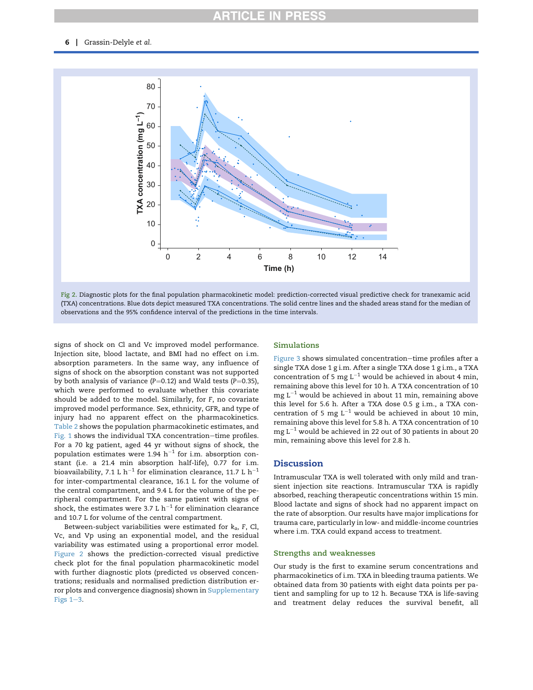#### 6 | Grassin-Delyle et al.

<span id="page-5-0"></span>



signs of shock on Cl and Vc improved model performance. Injection site, blood lactate, and BMI had no effect on i.m. absorption parameters. In the same way, any influence of signs of shock on the absorption constant was not supported by both analysis of variance ( $P=0.12$ ) and Wald tests ( $P=0.35$ ), which were performed to evaluate whether this covariate should be added to the model. Similarly, for F, no covariate improved model performance. Sex, ethnicity, GFR, and type of injury had no apparent effect on the pharmacokinetics. [Table 2](#page-2-1) shows the population pharmacokinetic estimates, and [Fig. 1](#page-3-0) shows the individual TXA concentration-time profiles. For a 70 kg patient, aged 44 yr without signs of shock, the population estimates were 1.94  $h^{-1}$  for i.m. absorption constant (i.e. a 21.4 min absorption half-life), 0.77 for i.m. bioavailability, 7.1 L  $h^{-1}$  for elimination clearance, 11.7 L  $h^{-1}$ for inter-compartmental clearance, 16.1 L for the volume of the central compartment, and 9.4 L for the volume of the peripheral compartment. For the same patient with signs of shock, the estimates were 3.7 L  $h^{-1}$  for elimination clearance and 10.7 L for volume of the central compartment.

Between-subject variabilities were estimated for  $k_a$ , F, Cl, Vc, and Vp using an exponential model, and the residual variability was estimated using a proportional error model. [Figure 2](#page-5-0) shows the prediction-corrected visual predictive check plot for the final population pharmacokinetic model with further diagnostic plots (predicted vs observed concentrations; residuals and normalised prediction distribution error plots and convergence diagnosis) shown in Supplementary Figs  $1-3$ .

#### Simulations

[Figure 3](#page-6-0) shows simulated concentration-time profiles after a single TXA dose 1 g i.m. After a single TXA dose 1 g i.m., a TXA concentration of 5 mg  $L^{-1}$  would be achieved in about 4 min, remaining above this level for 10 h. A TXA concentration of 10 mg  $L^{-1}$  would be achieved in about 11 min, remaining above this level for 5.6 h. After a TXA dose 0.5 g i.m., a TXA concentration of 5 mg  $L^{-1}$  would be achieved in about 10 min, remaining above this level for 5.8 h. A TXA concentration of 10 mg  $L^{-1}$  would be achieved in 22 out of 30 patients in about 20 min, remaining above this level for 2.8 h.

#### Discussion

Intramuscular TXA is well tolerated with only mild and transient injection site reactions. Intramuscular TXA is rapidly absorbed, reaching therapeutic concentrations within 15 min. Blood lactate and signs of shock had no apparent impact on the rate of absorption. Our results have major implications for trauma care, particularly in low- and middle-income countries where i.m. TXA could expand access to treatment.

#### Strengths and weaknesses

Our study is the first to examine serum concentrations and pharmacokinetics of i.m. TXA in bleeding trauma patients. We obtained data from 30 patients with eight data points per patient and sampling for up to 12 h. Because TXA is life-saving and treatment delay reduces the survival benefit, all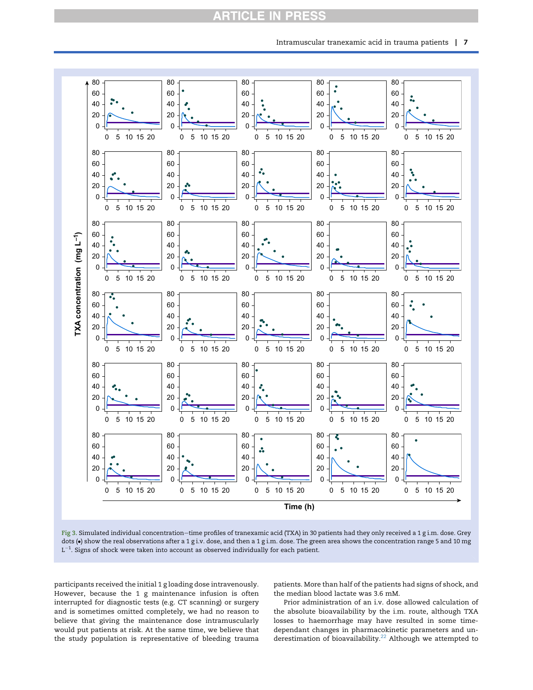Intramuscular tranexamic acid in trauma patients | 7

<span id="page-6-0"></span>

Fig 3. Simulated individual concentration-time profiles of tranexamic acid (TXA) in 30 patients had they only received a 1 g i.m. dose. Grey dots () show the real observations after a 1 g i.v. dose, and then a 1 g i.m. dose. The green area shows the concentration range 5 and 10 mg  $\mathtt{L}^{-1}.$  Signs of shock were taken into account as observed individually for each patient.

participants received the initial 1 g loading dose intravenously. However, because the 1 g maintenance infusion is often interrupted for diagnostic tests (e.g. CT scanning) or surgery and is sometimes omitted completely, we had no reason to believe that giving the maintenance dose intramuscularly would put patients at risk. At the same time, we believe that the study population is representative of bleeding trauma

patients. More than half of the patients had signs of shock, and the median blood lactate was 3.6 mM.

Prior administration of an i.v. dose allowed calculation of the absolute bioavailability by the i.m. route, although TXA losses to haemorrhage may have resulted in some timedependant changes in pharmacokinetic parameters and un-derestimation of bioavailability.<sup>[22](#page-8-20)</sup> Although we attempted to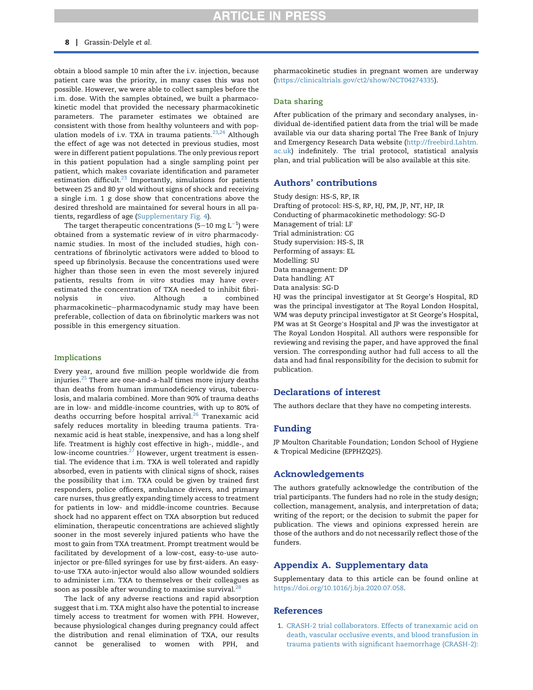#### 8 | Grassin-Delyle et al.

obtain a blood sample 10 min after the i.v. injection, because patient care was the priority, in many cases this was not possible. However, we were able to collect samples before the i.m. dose. With the samples obtained, we built a pharmacokinetic model that provided the necessary pharmacokinetic parameters. The parameter estimates we obtained are consistent with those from healthy volunteers and with population models of i.v. TXA in trauma patients. $23,24$  $23,24$  Although the effect of age was not detected in previous studies, most were in different patient populations. The only previous report in this patient population had a single sampling point per patient, which makes covariate identification and parameter estimation difficult. $23$  Importantly, simulations for patients between 25 and 80 yr old without signs of shock and receiving a single i.m. 1 g dose show that concentrations above the desired threshold are maintained for several hours in all patients, regardless of age (Supplementary Fig. 4).

The target therapeutic concentrations (5–10 mg L $^{-1}\mskip-4mu$ ) were obtained from a systematic review of in vitro pharmacodynamic studies. In most of the included studies, high concentrations of fibrinolytic activators were added to blood to speed up fibrinolysis. Because the concentrations used were higher than those seen in even the most severely injured patients, results from in vitro studies may have overestimated the concentration of TXA needed to inhibit fibrinolysis in vivo. Although a combined pharmacokinetic-pharmacodynamic study may have been preferable, collection of data on fibrinolytic markers was not possible in this emergency situation.

#### Implications

Every year, around five million people worldwide die from injuries.[25](#page-8-23) There are one-and-a-half times more injury deaths than deaths from human immunodeficiency virus, tuberculosis, and malaria combined. More than 90% of trauma deaths are in low- and middle-income countries, with up to 80% of deaths occurring before hospital arrival.<sup>[26](#page-8-24)</sup> Tranexamic acid safely reduces mortality in bleeding trauma patients. Tranexamic acid is heat stable, inexpensive, and has a long shelf life. Treatment is highly cost effective in high-, middle-, and low-income countries. $2^7$  However, urgent treatment is essential. The evidence that i.m. TXA is well tolerated and rapidly absorbed, even in patients with clinical signs of shock, raises the possibility that i.m. TXA could be given by trained first responders, police officers, ambulance drivers, and primary care nurses, thus greatly expanding timely access to treatment for patients in low- and middle-income countries. Because shock had no apparent effect on TXA absorption but reduced elimination, therapeutic concentrations are achieved slightly sooner in the most severely injured patients who have the most to gain from TXA treatment. Prompt treatment would be facilitated by development of a low-cost, easy-to-use autoinjector or pre-filled syringes for use by first-aiders. An easyto-use TXA auto-injector would also allow wounded soldiers to administer i.m. TXA to themselves or their colleagues as soon as possible after wounding to maximise survival. $^{28}$  $^{28}$  $^{28}$ 

The lack of any adverse reactions and rapid absorption suggest that i.m. TXA might also have the potential to increase timely access to treatment for women with PPH. However, because physiological changes during pregnancy could affect the distribution and renal elimination of TXA, our results cannot be generalised to women with PPH, and pharmacokinetic studies in pregnant women are underway [\(https://clinicaltrials.gov/ct2/show/NCT04274335](https://clinicaltrials.gov/ct2/show/NCT04274335)).

### Data sharing

After publication of the primary and secondary analyses, individual de-identified patient data from the trial will be made available via our data sharing portal The Free Bank of Injury and Emergency Research Data website [\(http://freebird.Lshtm.](http://freebird.lshtm.ac.uk/) [ac.uk\)](http://freebird.lshtm.ac.uk/) indefinitely. The trial protocol, statistical analysis plan, and trial publication will be also available at this site.

#### Authors' contributions

Study design: HS-S, RP, IR Drafting of protocol: HS-S, RP, HJ, PM, JP, NT, HP, IR Conducting of pharmacokinetic methodology: SG-D Management of trial: LF Trial administration: CG Study supervision: HS-S, IR Performing of assays: EL Modelling: SU Data management: DP Data handling: AT Data analysis: SG-D HJ was the principal investigator at St George's Hospital, RD

was the principal investigator at The Royal London Hospital, WM was deputy principal investigator at St George's Hospital, PM was at St George's Hospital and JP was the investigator at The Royal London Hospital. All authors were responsible for reviewing and revising the paper, and have approved the final version. The corresponding author had full access to all the data and had final responsibility for the decision to submit for publication.

### Declarations of interest

The authors declare that they have no competing interests.

### Funding

JP Moulton Charitable Foundation; London School of Hygiene & Tropical Medicine (EPPHZQ25).

### Acknowledgements

The authors gratefully acknowledge the contribution of the trial participants. The funders had no role in the study design; collection, management, analysis, and interpretation of data; writing of the report; or the decision to submit the paper for publication. The views and opinions expressed herein are those of the authors and do not necessarily reflect those of the funders.

### Appendix A. Supplementary data

Supplementary data to this article can be found online at <https://doi.org/10.1016/j.bja.2020.07.058>.

### References

<span id="page-7-0"></span>1. [CRASH-2 trial collaborators. Effects of tranexamic acid on](http://refhub.elsevier.com/S0007-0912(20)30682-6/sref1) [death, vascular occlusive events, and blood transfusion in](http://refhub.elsevier.com/S0007-0912(20)30682-6/sref1) [trauma patients with significant haemorrhage \(CRASH-2\):](http://refhub.elsevier.com/S0007-0912(20)30682-6/sref1)